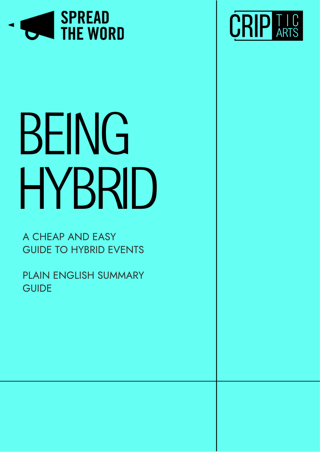

# BEING HYBRID

A CHEAP AND EASY GUIDE TO HYBRID EVENTS

PLAIN ENGLISH SUMMARY **GUIDE** 

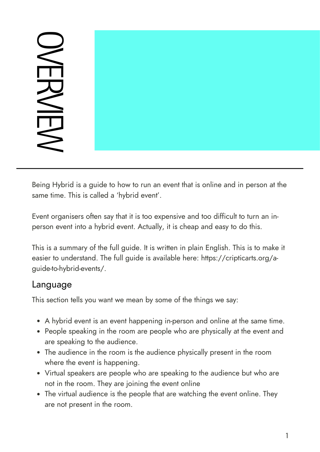## $\bigcirc$ m RVIEW

Being Hybrid is a guide to how to run an event that is online and in person at the same time. This is called a 'hybrid event'.

Event organisers often say that it is too expensive and too difficult to turn an inperson event into a hybrid event. Actually, it is cheap and easy to do this.

This is a summary of the full guide. It is written in plain English. This is to make it easier to understand. The full guide is available here: [https://cripticarts.org/a](https://cripticarts.org/a-guide-to-hybrid-events/)guide-to-hybrid-events/.

#### Language

This section tells you want we mean by some of the things we say:

- A hybrid event is an event happening in-person and online at the same time.
- People speaking in the room are people who are physically at the event and are speaking to the audience.
- The audience in the room is the audience physically present in the room where the event is happening.
- Virtual speakers are people who are speaking to the audience but who are not in the room. They are joining the event online
- The virtual audience is the people that are watching the event online. They are not present in the room.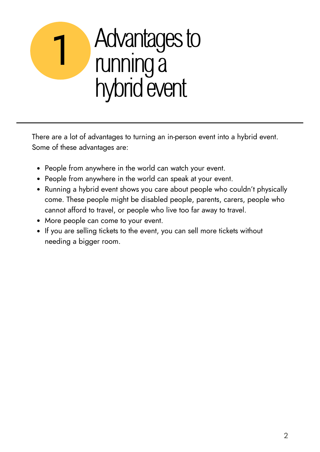### Advantages to runninga hybrid event 1

There are a lot of advantages to turning an in-person event into a hybrid event. Some of these advantages are:

- People from anywhere in the world can watch your event.
- People from anywhere in the world can speak at your event.
- Running a hybrid event shows you care about people who couldn't physically come. These people might be disabled people, parents, carers, people who cannot afford to travel, or people who live too far away to travel.
- More people can come to your event.
- If you are selling tickets to the event, you can sell more tickets without needing a bigger room.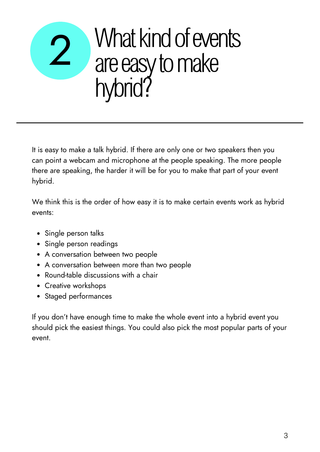### What kind of events are easy to make hybrid? 2

It is easy to make a talk hybrid. If there are only one or two speakers then you can point a webcam and microphone at the people speaking. The more people there are speaking, the harder it will be for you to make that part of your event hybrid.

We think this is the order of how easy it is to make certain events work as hybrid events:

- Single person talks
- Single person readings
- A conversation between two people
- A conversation between more than two people
- Round-table discussions with a chair
- Creative workshops
- Staged performances

If you don't have enough time to make the whole event into a hybrid event you should pick the easiest things. You could also pick the most popular parts of your event.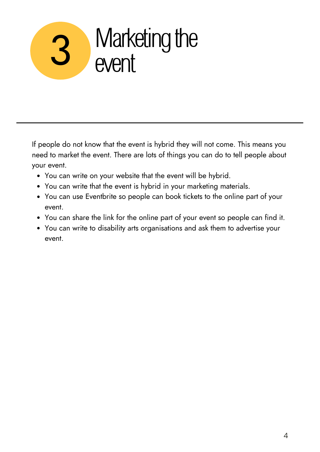# 3 Marketing the

If people do not know that the event is hybrid they will not come. This means you need to market the event. There are lots of things you can do to tell people about your event.

- You can write on your website that the event will be hybrid.
- You can write that the event is hybrid in your marketing materials.
- You can use Eventbrite so people can book tickets to the online part of your event.
- You can share the link for the online part of your event so people can find it.
- You can write to disability arts organisations and ask them to advertise your event.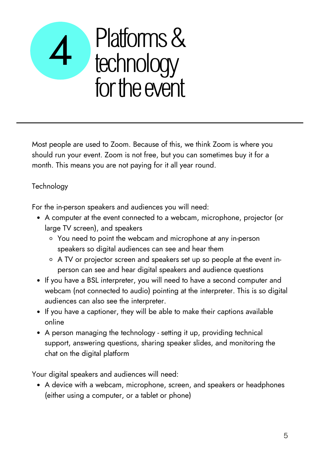### Platforms & technology for the event 4

Most people are used to Zoom. Because of this, we think Zoom is where you should run your event. Zoom is not free, but you can sometimes buy it for a month. This means you are not paying for it all year round.

#### **Technology**

For the in-person speakers and audiences you will need:

- A computer at the event connected to a webcam, microphone, projector (or large TV screen), and speakers
	- You need to point the webcam and microphone at any in-person speakers so digital audiences can see and hear them
	- A TV or projector screen and speakers set up so people at the event inperson can see and hear digital speakers and audience questions
- If you have a BSL interpreter, you will need to have a second computer and webcam (not connected to audio) pointing at the interpreter. This is so digital audiences can also see the interpreter.
- If you have a captioner, they will be able to make their captions available online
- A person managing the technology setting it up, providing technical support, answering questions, sharing speaker slides, and monitoring the chat on the digital platform

Your digital speakers and audiences will need:

• A device with a webcam, microphone, screen, and speakers or headphones (either using a computer, or a tablet or phone)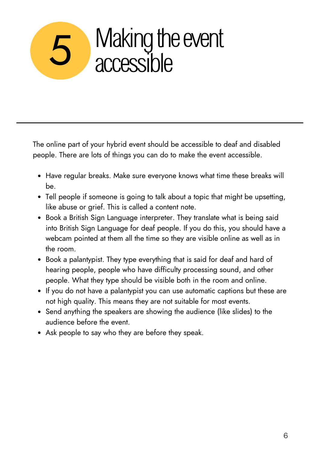## Making the event<br>accessible

The online part of your hybrid event should be accessible to deaf and disabled people. There are lots of things you can do to make the event accessible.

- Have regular breaks. Make sure everyone knows what time these breaks will be.
- Tell people if someone is going to talk about a topic that might be upsetting, like abuse or grief. This is called a content note.
- Book a British Sign Language interpreter. They translate what is being said into British Sign Language for deaf people. If you do this, you should have a webcam pointed at them all the time so they are visible online as well as in the room.
- Book a palantypist. They type everything that is said for deaf and hard of hearing people, people who have difficulty processing sound, and other people. What they type should be visible both in the room and online.
- If you do not have a palantypist you can use automatic captions but these are not high quality. This means they are not suitable for most events.
- Send anything the speakers are showing the audience (like slides) to the audience before the event.
- Ask people to say who they are before they speak.